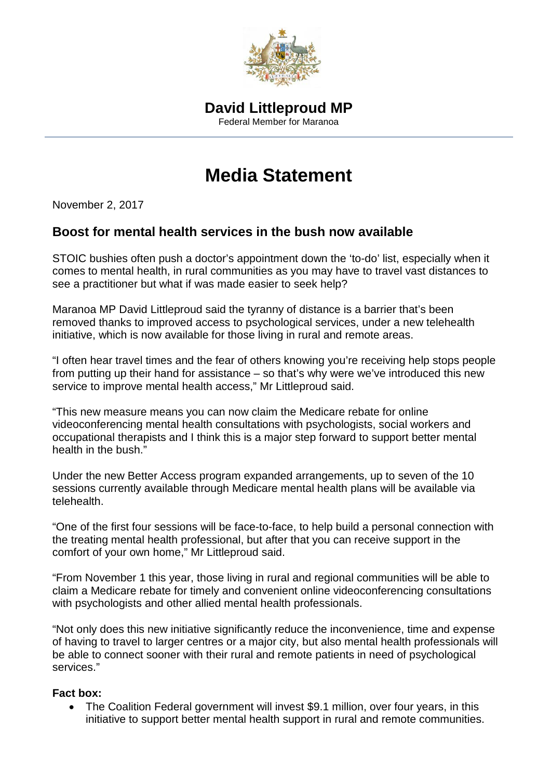

## **Media Statement**

November 2, 2017

## **Boost for mental health services in the bush now available**

STOIC bushies often push a doctor's appointment down the 'to-do' list, especially when it comes to mental health, in rural communities as you may have to travel vast distances to see a practitioner but what if was made easier to seek help?

Maranoa MP David Littleproud said the tyranny of distance is a barrier that's been removed thanks to improved access to psychological services, under a new telehealth initiative, which is now available for those living in rural and remote areas.

"I often hear travel times and the fear of others knowing you're receiving help stops people from putting up their hand for assistance – so that's why were we've introduced this new service to improve mental health access," Mr Littleproud said.

"This new measure means you can now claim the Medicare rebate for online videoconferencing mental health consultations with psychologists, social workers and occupational therapists and I think this is a major step forward to support better mental health in the bush."

Under the new Better Access program expanded arrangements, up to seven of the 10 sessions currently available through Medicare mental health plans will be available via telehealth.

"One of the first four sessions will be face-to-face, to help build a personal connection with the treating mental health professional, but after that you can receive support in the comfort of your own home," Mr Littleproud said.

"From November 1 this year, those living in rural and regional communities will be able to claim a Medicare rebate for timely and convenient online videoconferencing consultations with psychologists and other allied mental health professionals.

"Not only does this new initiative significantly reduce the inconvenience, time and expense of having to travel to larger centres or a major city, but also mental health professionals will be able to connect sooner with their rural and remote patients in need of psychological services."

## **Fact box:**

• The Coalition Federal government will invest \$9.1 million, over four years, in this initiative to support better mental health support in rural and remote communities.